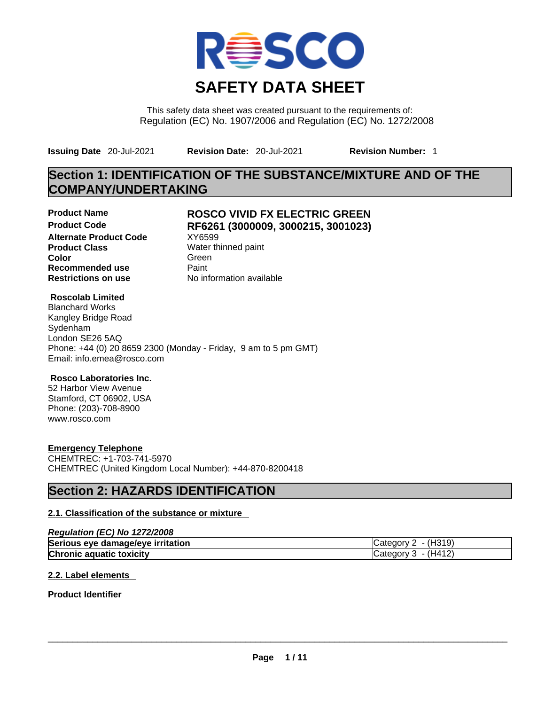

This safety data sheet was created pursuant to the requirements of: Regulation (EC) No. 1907/2006 and Regulation (EC) No. 1272/2008

**Issuing Date** 20-Jul-2021 **Revision Date:** 20-Jul-2021 **Revision Number:** 1

## **Section 1: IDENTIFICATION OF THE SUBSTANCE/MIXTURE AND OF THE COMPANY/UNDERTAKING**

**Product Code RF6261 (3000009, 3000215, 3001023) Alternate Product Code Product Class Water thinned paint**<br> **Color** Green **Color** Green **Recommended use** Paint **Restrictions on use** No information available

# **Product Name ROSCO VIVID FX ELECTRIC GREEN**

#### **Roscolab Limited**

Blanchard Works Kangley Bridge Road Sydenham London SE26 5AQ Phone: +44 (0) 20 8659 2300 (Monday - Friday, 9 am to 5 pm GMT) Email: info.emea@rosco.com

### **Rosco Laboratories Inc.**

52 Harbor View Avenue Stamford, CT 06902, USA Phone: (203)-708-8900 www.rosco.com

### **Emergency Telephone**

CHEMTREC: +1-703-741-5970 CHEMTREC (United Kingdom Local Number): +44-870-8200418

## **Section 2: HAZARDS IDENTIFICATION**

### **2.1. Classification of the substance or mixture**

#### *Regulation (EC) No 1272/2008*

| Serious eye damage/eye irritation | '319)<br>\מחו               |
|-----------------------------------|-----------------------------|
| Chronic aquatic toxicity          | 141∠ <sup>.</sup><br>. iOrv |

### **2.2. Label elements**

#### **Product Identifier**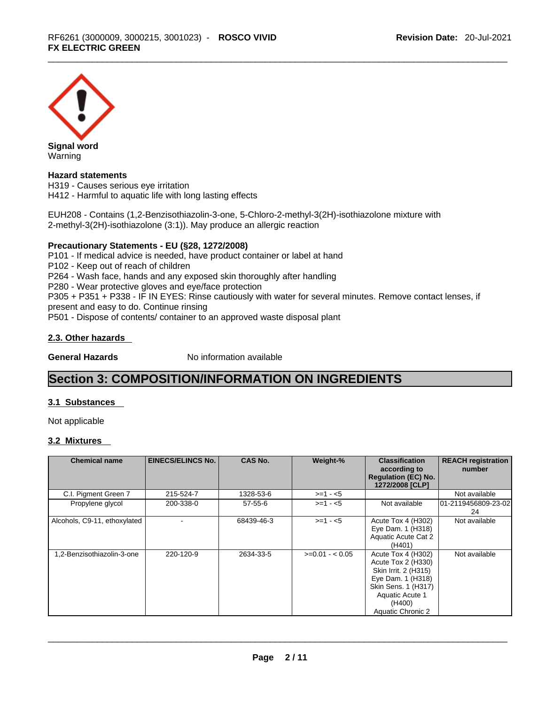

#### **Hazard statements**

H319 - Causes serious eye irritation H412 - Harmful to aquatic life with long lasting effects

EUH208 - Contains (1,2-Benzisothiazolin-3-one, 5-Chloro-2-methyl-3(2H)-isothiazolone mixture with 2-methyl-3(2H)-isothiazolone (3:1)). May produce an allergic reaction

#### **Precautionary Statements - EU (§28, 1272/2008)**

P101 - If medical advice is needed, have product container or label at hand P102 - Keep out of reach of children P264 - Wash face, hands and any exposed skin thoroughly after handling P280 - Wear protective gloves and eye/face protection P305 + P351 + P338 - IF IN EYES: Rinse cautiously with water for several minutes. Remove contact lenses, if present and easy to do. Continue rinsing P501 - Dispose of contents/ container to an approved waste disposal plant

#### **2.3. Other hazards**

**General Hazards No information available** 

## **Section 3: COMPOSITION/INFORMATION ON INGREDIENTS**

### **3.1 Substances**

Not applicable

#### **3.2 Mixtures**

| <b>Chemical name</b>         | <b>EINECS/ELINCS No.</b> | <b>CAS No.</b> | Weight-%        | <b>Classification</b><br>according to<br><b>Regulation (EC) No.</b><br>1272/2008 [CLP]                                                                                | <b>REACH registration</b><br>number |
|------------------------------|--------------------------|----------------|-----------------|-----------------------------------------------------------------------------------------------------------------------------------------------------------------------|-------------------------------------|
| C.I. Pigment Green 7         | 215-524-7                | 1328-53-6      | $>=1 - 5$       |                                                                                                                                                                       | Not available                       |
| Propylene glycol             | 200-338-0                | $57 - 55 - 6$  | $>=1 - 5$       | Not available                                                                                                                                                         | 01-2119456809-23-02<br>24           |
| Alcohols, C9-11, ethoxylated |                          | 68439-46-3     | $>= 1 - 5$      | Acute Tox 4 (H302)<br>Eye Dam. 1 (H318)<br>Aquatic Acute Cat 2<br>(H401)                                                                                              | Not available                       |
| 1,2-Benzisothiazolin-3-one   | 220-120-9                | 2634-33-5      | $>=0.01 - 0.05$ | Acute Tox 4 (H302)<br>Acute Tox 2 (H330)<br>Skin Irrit. 2 (H315)<br>Eye Dam. 1 (H318)<br>Skin Sens. 1 (H317)<br>Aquatic Acute 1<br>(H400)<br><b>Aquatic Chronic 2</b> | Not available                       |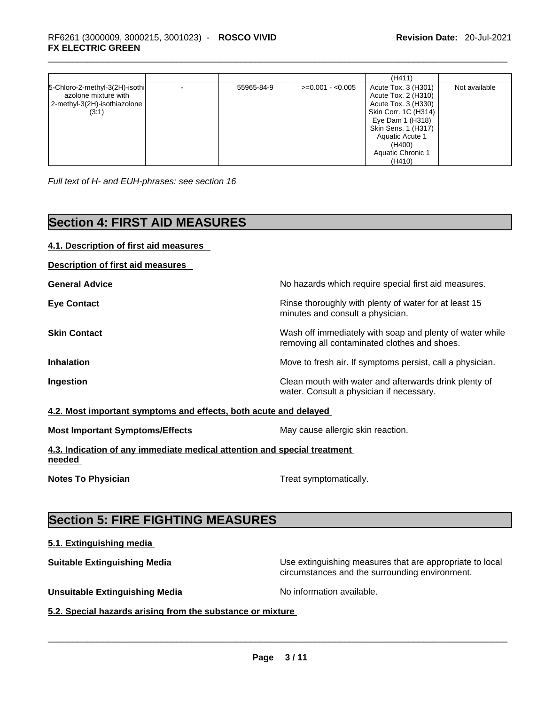|                                                                                                 |            |                   | (H411)                                                                                                                                                                                           |               |
|-------------------------------------------------------------------------------------------------|------------|-------------------|--------------------------------------------------------------------------------------------------------------------------------------------------------------------------------------------------|---------------|
| 5-Chloro-2-methyl-3(2H)-isothi<br>azolone mixture with<br>2-methyl-3(2H)-isothiazolone<br>(3:1) | 55965-84-9 | $>=0.001 - 0.005$ | Acute Tox. 3 (H301)<br>Acute Tox. 2 (H310)<br>Acute Tox. 3 (H330)<br>Skin Corr. 1C (H314)<br>Eye Dam 1 (H318)<br>Skin Sens. 1 (H317)<br>Aquatic Acute 1<br>(H400)<br>Aquatic Chronic 1<br>(H410) | Not available |

*Full text of H- and EUH-phrases: see section 16* 

## **Section 4: FIRST AID MEASURES**

| No hazards which require special first aid measures.<br>Rinse thoroughly with plenty of water for at least 15<br>minutes and consult a physician.<br>Wash off immediately with soap and plenty of water while<br>removing all contaminated clothes and shoes.<br>Move to fresh air. If symptoms persist, call a physician.<br>Clean mouth with water and afterwards drink plenty of<br>water. Consult a physician if necessary.<br>4.2. Most important symptoms and effects, both acute and delayed<br>May cause allergic skin reaction.<br>4.3. Indication of any immediate medical attention and special treatment<br>Treat symptomatically. | 4.1. Description of first aid measures |  |
|------------------------------------------------------------------------------------------------------------------------------------------------------------------------------------------------------------------------------------------------------------------------------------------------------------------------------------------------------------------------------------------------------------------------------------------------------------------------------------------------------------------------------------------------------------------------------------------------------------------------------------------------|----------------------------------------|--|
|                                                                                                                                                                                                                                                                                                                                                                                                                                                                                                                                                                                                                                                | Description of first aid measures      |  |
|                                                                                                                                                                                                                                                                                                                                                                                                                                                                                                                                                                                                                                                | <b>General Advice</b>                  |  |
|                                                                                                                                                                                                                                                                                                                                                                                                                                                                                                                                                                                                                                                | <b>Eye Contact</b>                     |  |
|                                                                                                                                                                                                                                                                                                                                                                                                                                                                                                                                                                                                                                                | <b>Skin Contact</b>                    |  |
|                                                                                                                                                                                                                                                                                                                                                                                                                                                                                                                                                                                                                                                | <b>Inhalation</b>                      |  |
|                                                                                                                                                                                                                                                                                                                                                                                                                                                                                                                                                                                                                                                | Ingestion                              |  |
|                                                                                                                                                                                                                                                                                                                                                                                                                                                                                                                                                                                                                                                |                                        |  |
|                                                                                                                                                                                                                                                                                                                                                                                                                                                                                                                                                                                                                                                | <b>Most Important Symptoms/Effects</b> |  |
|                                                                                                                                                                                                                                                                                                                                                                                                                                                                                                                                                                                                                                                | needed                                 |  |
|                                                                                                                                                                                                                                                                                                                                                                                                                                                                                                                                                                                                                                                | <b>Notes To Physician</b>              |  |

## **Section 5: FIRE FIGHTING MEASURES**

### **5.1. Extinguishing media**

**Suitable Extinguishing Media** Media Use extinguishing measures that are appropriate to local circumstances and the surrounding environment.

**Unsuitable Extinguishing Media** Noinformation available.

**5.2. Special hazards arising from the substance or mixture**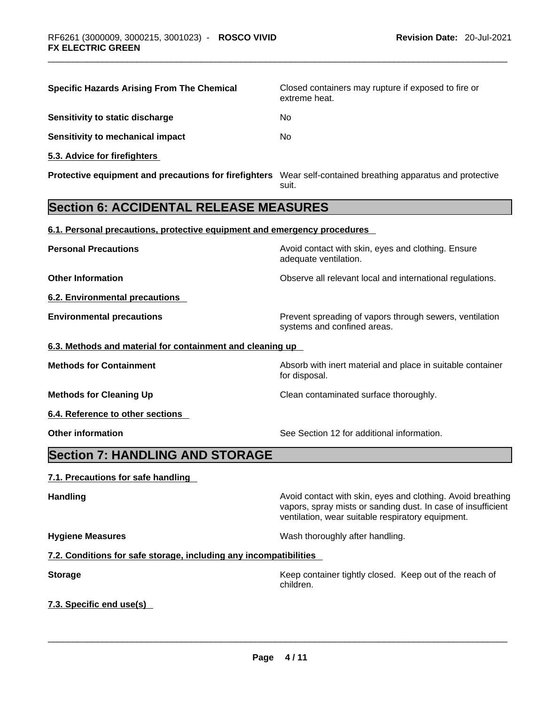| <b>Specific Hazards Arising From The Chemical</b>                                                            | Closed containers may rupture if exposed to fire or<br>extreme heat.                                                                                                             |  |
|--------------------------------------------------------------------------------------------------------------|----------------------------------------------------------------------------------------------------------------------------------------------------------------------------------|--|
| Sensitivity to static discharge                                                                              | No.                                                                                                                                                                              |  |
| <b>Sensitivity to mechanical impact</b>                                                                      | No                                                                                                                                                                               |  |
| 5.3. Advice for firefighters                                                                                 |                                                                                                                                                                                  |  |
| Protective equipment and precautions for firefighters Wear self-contained breathing apparatus and protective | suit.                                                                                                                                                                            |  |
| <b>Section 6: ACCIDENTAL RELEASE MEASURES</b>                                                                |                                                                                                                                                                                  |  |
| 6.1. Personal precautions, protective equipment and emergency procedures                                     |                                                                                                                                                                                  |  |
| <b>Personal Precautions</b>                                                                                  | Avoid contact with skin, eyes and clothing. Ensure<br>adequate ventilation.                                                                                                      |  |
| <b>Other Information</b>                                                                                     | Observe all relevant local and international regulations.                                                                                                                        |  |
| 6.2. Environmental precautions                                                                               |                                                                                                                                                                                  |  |
| <b>Environmental precautions</b>                                                                             | Prevent spreading of vapors through sewers, ventilation<br>systems and confined areas.                                                                                           |  |
| 6.3. Methods and material for containment and cleaning up                                                    |                                                                                                                                                                                  |  |
| <b>Methods for Containment</b>                                                                               | Absorb with inert material and place in suitable container<br>for disposal.                                                                                                      |  |
| <b>Methods for Cleaning Up</b>                                                                               | Clean contaminated surface thoroughly.                                                                                                                                           |  |
| 6.4. Reference to other sections                                                                             |                                                                                                                                                                                  |  |
| <b>Other information</b>                                                                                     | See Section 12 for additional information.                                                                                                                                       |  |
| <b>Section 7: HANDLING AND STORAGE</b>                                                                       |                                                                                                                                                                                  |  |
| 7.1. Precautions for safe handling                                                                           |                                                                                                                                                                                  |  |
| <b>Handling</b>                                                                                              | Avoid contact with skin, eyes and clothing. Avoid breathing<br>vapors, spray mists or sanding dust. In case of insufficient<br>ventilation, wear suitable respiratory equipment. |  |
| <b>Hygiene Measures</b>                                                                                      | Wash thoroughly after handling.                                                                                                                                                  |  |
| 7.2. Conditions for safe storage, including any incompatibilities                                            |                                                                                                                                                                                  |  |
| <b>Storage</b>                                                                                               | Keep container tightly closed. Keep out of the reach of<br>children.                                                                                                             |  |
| 7.3. Specific end use(s)                                                                                     |                                                                                                                                                                                  |  |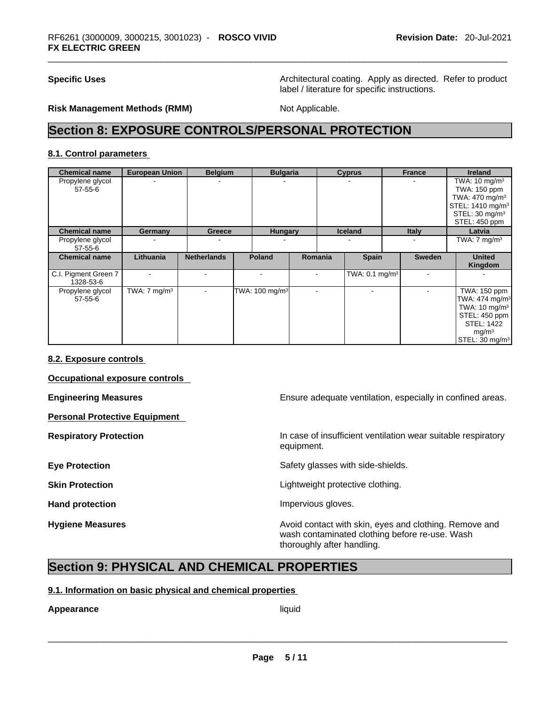**Specific Uses Architectural coating. Apply as directed. Refer to product Architectural coating. Apply as directed. Refer to product** label / literature for specific instructions.

#### **Risk Management Methods (RMM)** Not Applicable.

## **Section 8: EXPOSURE CONTROLS/PERSONAL PROTECTION**

#### **8.1. Control parameters**

| <b>Chemical name</b>              | <b>European Union</b>   | <b>Belgium</b>           | <b>Bulgaria</b>                      |                          | <b>Cyprus</b>              | <b>France</b> |               | <b>Ireland</b>               |
|-----------------------------------|-------------------------|--------------------------|--------------------------------------|--------------------------|----------------------------|---------------|---------------|------------------------------|
| Propylene glycol                  |                         |                          |                                      |                          |                            |               |               | TWA: $10 \text{ mg/m}^3$     |
| $57 - 55 - 6$                     |                         |                          |                                      |                          |                            |               |               | TWA: 150 ppm                 |
|                                   |                         |                          |                                      |                          |                            |               |               | TWA: $470$ mg/m <sup>3</sup> |
|                                   |                         |                          |                                      |                          |                            |               |               | STEL: 1410 mg/m <sup>3</sup> |
|                                   |                         |                          |                                      |                          |                            |               |               | STEL: 30 mg/m <sup>3</sup>   |
|                                   |                         |                          |                                      |                          |                            |               |               | STEL: 450 ppm                |
| <b>Chemical name</b>              | Germany                 | Greece                   | <b>Hungary</b>                       |                          | Iceland                    | <b>Italy</b>  |               | Latvia                       |
| Propylene glycol<br>$57 - 55 - 6$ |                         |                          |                                      |                          |                            |               |               | TWA: $7 \text{ mg/m}^3$      |
| <b>Chemical name</b>              | Lithuania               | <b>Netherlands</b>       | <b>Poland</b>                        | Romania                  | <b>Spain</b>               |               | <b>Sweden</b> | <b>United</b><br>Kingdom     |
| C.I. Pigment Green 7<br>1328-53-6 |                         |                          |                                      |                          | TWA: 0.1 mg/m <sup>3</sup> |               |               |                              |
| Propylene glycol                  | TWA: $7 \text{ mg/m}^3$ | $\overline{\phantom{a}}$ | TWA: $100 \text{ mg/m}$ <sup>3</sup> | $\overline{\phantom{a}}$ |                            |               |               | TWA: 150 ppm                 |
| $57 - 55 - 6$                     |                         |                          |                                      |                          |                            |               |               | TWA: 474 mg/m <sup>3</sup>   |
|                                   |                         |                          |                                      |                          |                            |               |               | TWA: 10 mg/m <sup>3</sup>    |
|                                   |                         |                          |                                      |                          |                            |               |               | STEL: 450 ppm                |
|                                   |                         |                          |                                      |                          |                            |               |               | <b>STEL: 1422</b>            |
|                                   |                         |                          |                                      |                          |                            |               |               | mg/m <sup>3</sup>            |
|                                   |                         |                          |                                      |                          |                            |               |               | STEL: 30 mg/m <sup>3</sup>   |

#### **8.2. Exposure controls**

**Occupational exposure controls** 

**Personal Protective Equipment** 

**Engineering Measures Ensure adequate ventilation, especially in confined areas.** 

**Respiratory Protection In case of insufficient ventilation wear suitable respiratory** equipment.

**Eye Protection <b>Exercise Safety glasses** with side-shields.

**Skin Protection Contract Contract Contract Contract Contract Contract Contract Contract Contract Contract Contract Contract Contract Contract Contract Contract Contract Contract Contract Contract Contract Contract Contr** 

Hand protection **Impervious** gloves.

**Hygiene Measures Avoid contact with skin, eyes and clothing. Remove and Avoid contact with skin, eyes and clothing. Remove and** wash contaminated clothing before re-use. Wash thoroughly after handling.

## **Section 9: PHYSICAL AND CHEMICAL PROPERTIES**

#### **9.1. Information on basic physical and chemical properties**

# **Appearance** liquid \_\_\_\_\_\_\_\_\_\_\_\_\_\_\_\_\_\_\_\_\_\_\_\_\_\_\_\_\_\_\_\_\_\_\_\_\_\_\_\_\_\_\_\_\_\_\_\_\_\_\_\_\_\_\_\_\_\_\_\_\_\_\_\_\_\_\_\_\_\_\_\_\_\_\_\_\_\_\_\_\_\_\_\_\_\_\_\_\_\_\_\_\_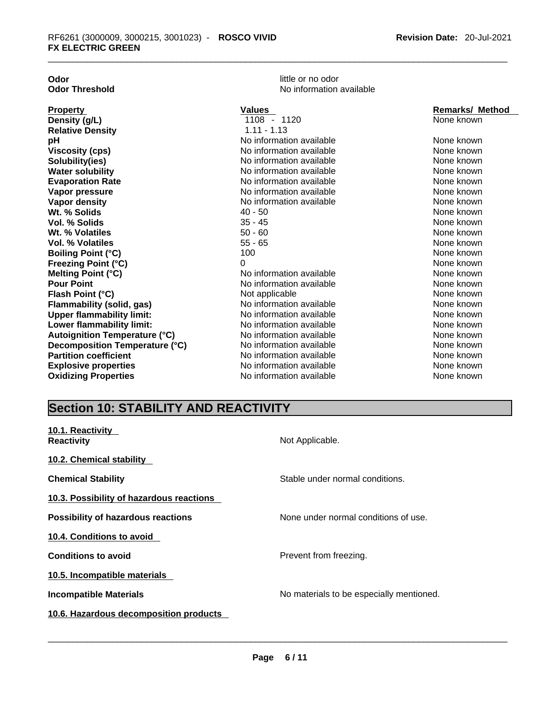| Odor |                       |
|------|-----------------------|
|      | <b>Odor Threshold</b> |

little or no odor **d** No information available

| <b>Property</b>                  | <b>Values</b>            | <b>Remarks/ Method</b> |
|----------------------------------|--------------------------|------------------------|
| Density (g/L)                    | 1108 - 1120              | None known             |
| <b>Relative Density</b>          | $1.11 - 1.13$            |                        |
| pН                               | No information available | None known             |
| Viscosity (cps)                  | No information available | None known             |
| Solubility(ies)                  | No information available | None known             |
| <b>Water solubility</b>          | No information available | None known             |
| <b>Evaporation Rate</b>          | No information available | None known             |
| Vapor pressure                   | No information available | None known             |
| Vapor density                    | No information available | None known             |
| Wt. % Solids                     | 40 - 50                  | None known             |
| Vol. % Solids                    | 35 - 45                  | None known             |
| Wt. % Volatiles                  | $50 - 60$                | None known             |
| Vol. % Volatiles                 | $55 - 65$                | None known             |
| <b>Boiling Point (°C)</b>        | 100                      | None known             |
| Freezing Point (°C)              | 0                        | None known             |
| Melting Point (°C)               | No information available | None known             |
| <b>Pour Point</b>                | No information available | None known             |
| Flash Point (°C)                 | Not applicable           | None known             |
| Flammability (solid, gas)        | No information available | None known             |
| <b>Upper flammability limit:</b> | No information available | None known             |
| Lower flammability limit:        | No information available | None known             |
| Autoignition Temperature (°C)    | No information available | None known             |
| Decomposition Temperature (°C)   | No information available | None known             |
| <b>Partition coefficient</b>     | No information available | None known             |
| <b>Explosive properties</b>      | No information available | None known             |
| <b>Oxidizing Properties</b>      | No information available | None known             |

## **Section 10: STABILITY AND REACTIVITY**

| 10.1. Reactivity<br><b>Reactivity</b>     | Not Applicable.                          |
|-------------------------------------------|------------------------------------------|
| 10.2. Chemical stability                  |                                          |
| <b>Chemical Stability</b>                 | Stable under normal conditions.          |
| 10.3. Possibility of hazardous reactions  |                                          |
| <b>Possibility of hazardous reactions</b> | None under normal conditions of use.     |
| 10.4. Conditions to avoid                 |                                          |
| <b>Conditions to avoid</b>                | Prevent from freezing.                   |
| 10.5. Incompatible materials              |                                          |
| <b>Incompatible Materials</b>             | No materials to be especially mentioned. |
| 10.6. Hazardous decomposition products    |                                          |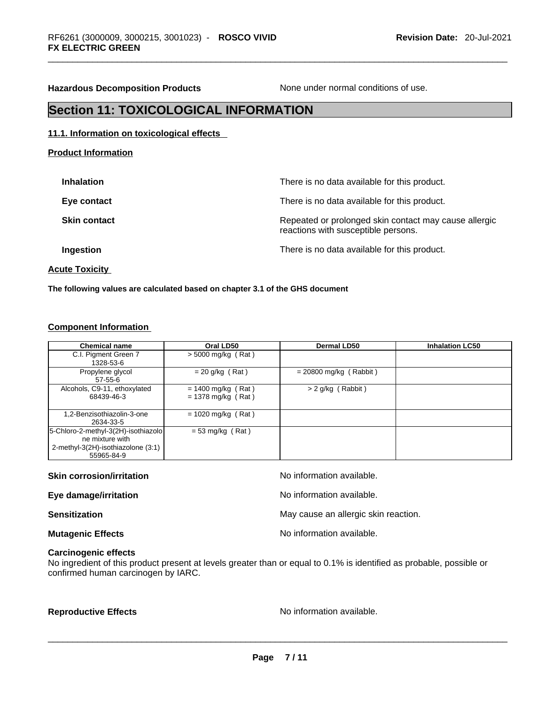**Hazardous Decomposition Products** None under normal conditions of use.

## **Section 11: TOXICOLOGICAL INFORMATION**

#### **11.1. Information on toxicological effects**

**Product Information**

| <b>Inhalation</b>   | There is no data available for this product.                                                 |
|---------------------|----------------------------------------------------------------------------------------------|
| Eye contact         | There is no data available for this product.                                                 |
| <b>Skin contact</b> | Repeated or prolonged skin contact may cause allergic<br>reactions with susceptible persons. |
| Ingestion           | There is no data available for this product.                                                 |
|                     |                                                                                              |

**Acute Toxicity** 

**The following values are calculated based on chapter 3.1 of the GHS document**

### **Component Information**

| <b>Chemical name</b>                                                                                       | Oral LD50                                    | Dermal LD50              | <b>Inhalation LC50</b> |
|------------------------------------------------------------------------------------------------------------|----------------------------------------------|--------------------------|------------------------|
| C.I. Pigment Green 7<br>1328-53-6                                                                          | $>$ 5000 mg/kg (Rat)                         |                          |                        |
| Propylene glycol<br>$57 - 55 - 6$                                                                          | $= 20$ g/kg (Rat)                            | $= 20800$ mg/kg (Rabbit) |                        |
| Alcohols, C9-11, ethoxylated<br>68439-46-3                                                                 | $= 1400$ mg/kg (Rat)<br>$= 1378$ mg/kg (Rat) | $> 2$ g/kg (Rabbit)      |                        |
| 1,2-Benzisothiazolin-3-one<br>2634-33-5                                                                    | $= 1020$ mg/kg (Rat)                         |                          |                        |
| 5-Chloro-2-methyl-3(2H)-isothiazolo<br>ne mixture with<br>2-methyl-3(2H)-isothiazolone (3:1)<br>55965-84-9 | $= 53$ mg/kg (Rat)                           |                          |                        |

| <b>Skin corrosion/irritation</b> | No information available.            |
|----------------------------------|--------------------------------------|
| Eye damage/irritation            | No information available.            |
| <b>Sensitization</b>             | May cause an allergic skin reaction. |
| <b>Mutagenic Effects</b>         | No information available.            |

### **Carcinogenic effects**

No ingredient of this product present at levels greater than or equal to 0.1% is identified as probable, possible or confirmed human carcinogen by IARC.

**Reproductive Effects** No information available. \_\_\_\_\_\_\_\_\_\_\_\_\_\_\_\_\_\_\_\_\_\_\_\_\_\_\_\_\_\_\_\_\_\_\_\_\_\_\_\_\_\_\_\_\_\_\_\_\_\_\_\_\_\_\_\_\_\_\_\_\_\_\_\_\_\_\_\_\_\_\_\_\_\_\_\_\_\_\_\_\_\_\_\_\_\_\_\_\_\_\_\_\_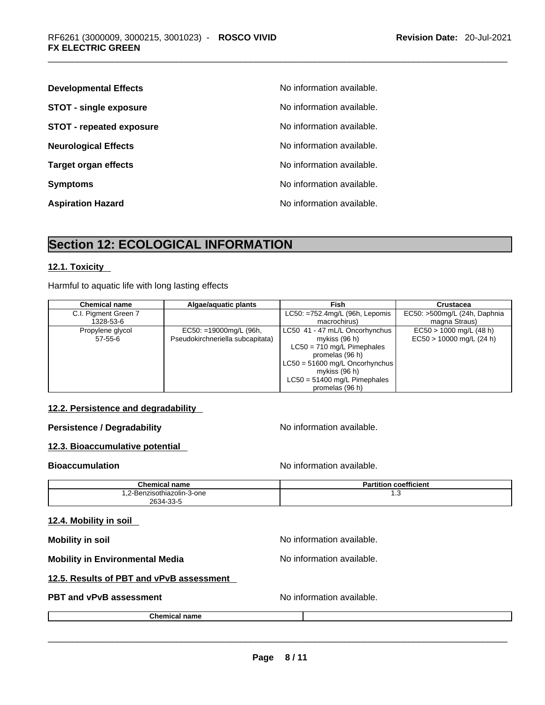| <b>Developmental Effects</b>    | No information available. |
|---------------------------------|---------------------------|
| <b>STOT - single exposure</b>   | No information available. |
| <b>STOT - repeated exposure</b> | No information available. |
| <b>Neurological Effects</b>     | No information available. |
| <b>Target organ effects</b>     | No information available. |
| <b>Symptoms</b>                 | No information available. |
| <b>Aspiration Hazard</b>        | No information available. |

## **Section 12: ECOLOGICAL INFORMATION**

### **12.1. Toxicity**

Harmful to aquatic life with long lasting effects

| <b>Chemical name</b> | Algae/aguatic plants             | Fish                                   | Crustacea                    |
|----------------------|----------------------------------|----------------------------------------|------------------------------|
| C.I. Pigment Green 7 |                                  | $LC50: = 752.4$ mg/L (96h, Lepomis     | EC50: >500mg/L (24h, Daphnia |
| 1328-53-6            |                                  | macrochirus)                           | magna Straus)                |
| Propylene glycol     | EC50: =19000mg/L (96h,           | LC50 41 - 47 mL/L Oncorhynchus         | $EC50 > 1000$ mg/L (48 h)    |
| $57 - 55 - 6$        | Pseudokirchneriella subcapitata) | mykiss (96 h)                          | $EC50 > 10000$ mg/L (24 h)   |
|                      |                                  | $LC50 = 710$ mg/L Pimephales           |                              |
|                      |                                  | promelas (96 h)                        |                              |
|                      |                                  | $\vert$ LC50 = 51600 mg/L Oncorhynchus |                              |
|                      |                                  | mykiss $(96 h)$                        |                              |
|                      |                                  | $LC50 = 51400$ mg/L Pimephales         |                              |
|                      |                                  | promelas (96 h)                        |                              |

#### **12.2. Persistence and degradability**

**Persistence / Degradability No information available.** 

### **12.3. Bioaccumulative potential**

**Bioaccumulation Bioaccumulation Bioaccumulation** 

| <b>Chemical name</b>       | <b>Partition coefficient</b> |
|----------------------------|------------------------------|
| 1.2-Benzisothiazolin-3-one | ں.،                          |
| 2634-33-5                  |                              |

#### **12.4. Mobility in soil**

**Mobility** in soil **Mobility** in soil

**Mobility in Environmental Media** Noinformation available.

### **12.5. Results of PBT and vPvB assessment**

# **PBT and vPvB assessment** No information available. \_\_\_\_\_\_\_\_\_\_\_\_\_\_\_\_\_\_\_\_\_\_\_\_\_\_\_\_\_\_\_\_\_\_\_\_\_\_\_\_\_\_\_\_\_\_\_\_\_\_\_\_\_\_\_\_\_\_\_\_\_\_\_\_\_\_\_\_\_\_\_\_\_\_\_\_\_\_\_\_\_\_\_\_\_\_\_\_\_\_\_\_\_

**Chemical name**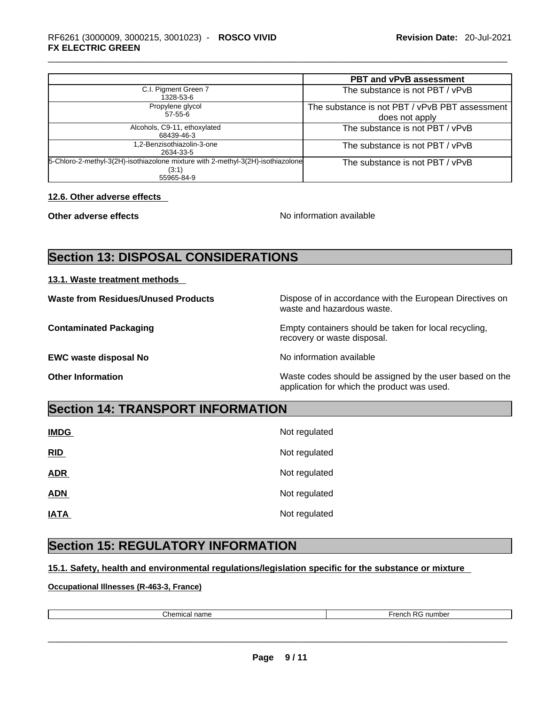|                                                                                                        | <b>PBT and vPvB assessment</b>                                   |
|--------------------------------------------------------------------------------------------------------|------------------------------------------------------------------|
| C.I. Pigment Green 7<br>1328-53-6                                                                      | The substance is not PBT / vPvB                                  |
| Propylene glycol<br>$57 - 55 - 6$                                                                      | The substance is not PBT / vPvB PBT assessment<br>does not apply |
| Alcohols, C9-11, ethoxylated<br>68439-46-3                                                             | The substance is not PBT / vPvB                                  |
| 1,2-Benzisothiazolin-3-one<br>2634-33-5                                                                | The substance is not PBT / vPvB                                  |
| 5-Chloro-2-methyl-3(2H)-isothiazolone mixture with 2-methyl-3(2H)-isothiazolone<br>(3:1)<br>55965-84-9 | The substance is not PBT / vPvB                                  |

#### **12.6. Other adverse effects**

**Other adverse effects No information available** 

## **Section 13: DISPOSAL CONSIDERATIONS**

#### **13.1. Waste treatment methods**

**EWC waste disposal No No information available** 

**Waste from Residues/Unused Products** Dispose of in accordance with the European Directives on waste and hazardous waste.

**Contaminated Packaging** Empty containers should be taken for local recycling, recovery or waste disposal.

**Other Information Other Information Intervellence in the Waste codes should be assigned by the user based on the** application for which the product was used.

## **Section 14: TRANSPORT INFORMATION**

| <b>IMDG</b> | Not regulated |
|-------------|---------------|
| RID         | Not regulated |
| <b>ADR</b>  | Not regulated |
| <b>ADN</b>  | Not regulated |
| <b>IATA</b> | Not regulated |

## **Section 15: REGULATORY INFORMATION**

### **15.1. Safety, health and environmental regulations/legislation specific for the substance or mixture**

**Occupational Illnesses (R-463-3, France)**

| $^{\circ}$ hamu<br>.<br>шза<br>nane<br>. | $\Gamma$<br>$T$ ronch<br>number |
|------------------------------------------|---------------------------------|
|                                          |                                 |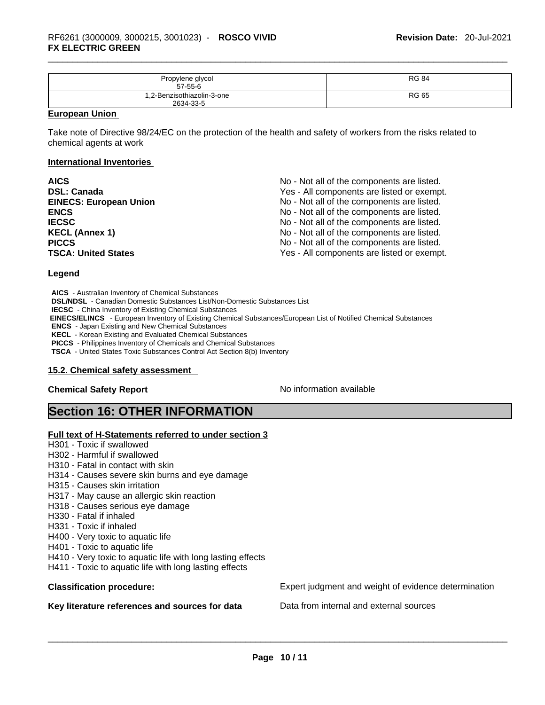| Propylene glycol<br>$57 - 55 - 6$       | <b>RG 84</b> |
|-----------------------------------------|--------------|
| 1,2-Benzisothiazolin-3-one<br>2634-33-5 | <b>RG 65</b> |

#### **European Union**

Take note of Directive 98/24/EC on the protection of the health and safety of workers from the risks related to chemical agents at work

#### **International Inventories**

| <b>AICS</b>                   | No - Not all of the components are listed. |
|-------------------------------|--------------------------------------------|
| <b>DSL: Canada</b>            | Yes - All components are listed or exempt. |
| <b>EINECS: European Union</b> | No - Not all of the components are listed. |
| <b>ENCS</b>                   | No - Not all of the components are listed. |
| <b>IECSC</b>                  | No - Not all of the components are listed. |
| <b>KECL (Annex 1)</b>         | No - Not all of the components are listed. |
| <b>PICCS</b>                  | No - Not all of the components are listed. |
| <b>TSCA: United States</b>    | Yes - All components are listed or exempt. |

#### **Legend**

**AICS** - Australian Inventory of Chemical Substances **DSL/NDSL** - Canadian Domestic Substances List/Non-Domestic Substances List **IECSC** - China Inventory of Existing Chemical Substances  **EINECS/ELINCS** - European Inventory of Existing Chemical Substances/European List of Notified Chemical Substances **ENCS** - Japan Existing and New Chemical Substances **KECL** - Korean Existing and Evaluated Chemical Substances **PICCS** - Philippines Inventory of Chemicals and Chemical Substances **TSCA** - United States Toxic Substances Control Act Section 8(b) Inventory

#### **15.2. Chemical safety assessment**

#### **Chemical Safety Report Chemical Safety Report No information available**

## **Section 16: OTHER INFORMATION**

#### **Full text of H-Statements referred to under section 3**

- H301 Toxic if swallowed
- H302 Harmful if swallowed
- H310 Fatal in contact with skin
- H314 Causes severe skin burns and eye damage
- H315 Causes skin irritation
- H317 May cause an allergic skin reaction
- H318 Causes serious eye damage
- H330 Fatal if inhaled
- H331 Toxic if inhaled
- H400 Very toxic to aquatic life
- H401 Toxic to aquatic life
- H410 Very toxic to aquatic life with long lasting effects
- H411 Toxic to aquatic life with long lasting effects

**Key literature references and sources for data** Data from internal and external sources \_\_\_\_\_\_\_\_\_\_\_\_\_\_\_\_\_\_\_\_\_\_\_\_\_\_\_\_\_\_\_\_\_\_\_\_\_\_\_\_\_\_\_\_\_\_\_\_\_\_\_\_\_\_\_\_\_\_\_\_\_\_\_\_\_\_\_\_\_\_\_\_\_\_\_\_\_\_\_\_\_\_\_\_\_\_\_\_\_\_\_\_\_

**Classification procedure:** Expert judgment and weight of evidence determination